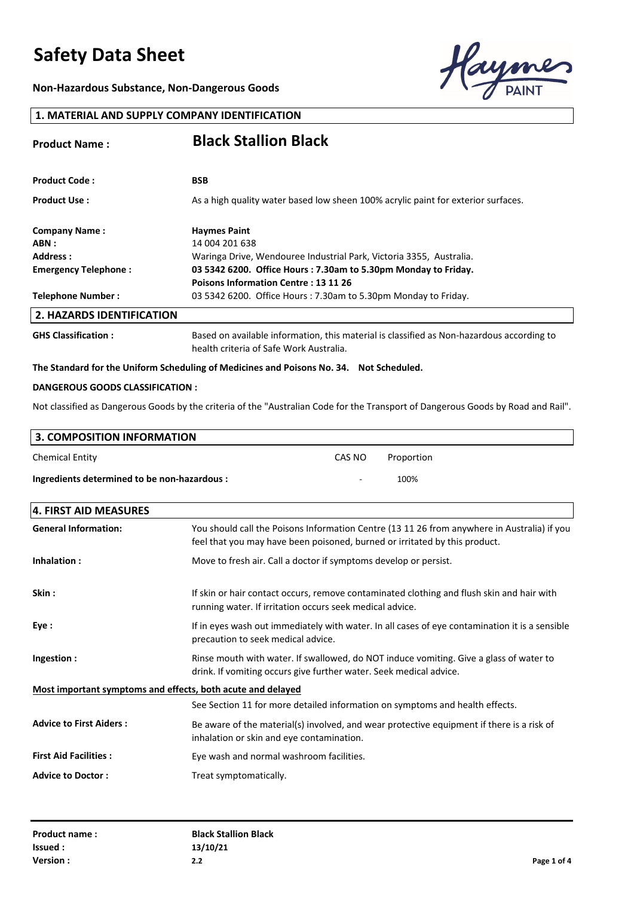**Non-Hazardous Substance, Non-Dangerous Goods**



### **1. MATERIAL AND SUPPLY COMPANY IDENTIFICATION**

| <b>Product Name:</b>             | <b>Black Stallion Black</b>                                                               |
|----------------------------------|-------------------------------------------------------------------------------------------|
| <b>Product Code:</b>             | <b>BSB</b>                                                                                |
| <b>Product Use:</b>              | As a high quality water based low sheen 100% acrylic paint for exterior surfaces.         |
| <b>Company Name:</b>             | <b>Haymes Paint</b>                                                                       |
| ABN :                            | 14 004 201 638                                                                            |
| Address:                         | Waringa Drive, Wendouree Industrial Park, Victoria 3355, Australia.                       |
| <b>Emergency Telephone:</b>      | 03 5342 6200. Office Hours: 7.30am to 5.30pm Monday to Friday.                            |
|                                  | <b>Poisons Information Centre: 13 11 26</b>                                               |
| <b>Telephone Number:</b>         | 03 5342 6200. Office Hours: 7.30am to 5.30pm Monday to Friday.                            |
| <b>2. HAZARDS IDENTIFICATION</b> |                                                                                           |
| <b>GHS Classification:</b>       | Based on available information, this material is classified as Non-hazardous according to |

health criteria of Safe Work Australia.

#### **The Standard for the Uniform Scheduling of Medicines and Poisons No. 34. Not Scheduled.**

#### **DANGEROUS GOODS CLASSIFICATION :**

Not classified as Dangerous Goods by the criteria of the "Australian Code for the Transport of Dangerous Goods by Road and Rail".

| 3. COMPOSITION INFORMATION                   |        |            |
|----------------------------------------------|--------|------------|
| <b>Chemical Entity</b>                       | CAS NO | Proportion |
| Ingredients determined to be non-hazardous : | $\sim$ | 100%       |

| 4. FIRST AID MEASURES                                       |                                                                                                                                                                           |
|-------------------------------------------------------------|---------------------------------------------------------------------------------------------------------------------------------------------------------------------------|
| <b>General Information:</b>                                 | You should call the Poisons Information Centre (13 11 26 from anywhere in Australia) if you<br>feel that you may have been poisoned, burned or irritated by this product. |
| Inhalation:                                                 | Move to fresh air. Call a doctor if symptoms develop or persist.                                                                                                          |
| Skin:                                                       | If skin or hair contact occurs, remove contaminated clothing and flush skin and hair with<br>running water. If irritation occurs seek medical advice.                     |
| Eye :                                                       | If in eyes wash out immediately with water. In all cases of eye contamination it is a sensible<br>precaution to seek medical advice.                                      |
| Ingestion:                                                  | Rinse mouth with water. If swallowed, do NOT induce vomiting. Give a glass of water to<br>drink. If vomiting occurs give further water. Seek medical advice.              |
| Most important symptoms and effects, both acute and delayed |                                                                                                                                                                           |
|                                                             | See Section 11 for more detailed information on symptoms and health effects.                                                                                              |
| <b>Advice to First Aiders:</b>                              | Be aware of the material(s) involved, and wear protective equipment if there is a risk of<br>inhalation or skin and eye contamination.                                    |
| <b>First Aid Facilities:</b>                                | Eye wash and normal washroom facilities.                                                                                                                                  |
| <b>Advice to Doctor:</b>                                    | Treat symptomatically.                                                                                                                                                    |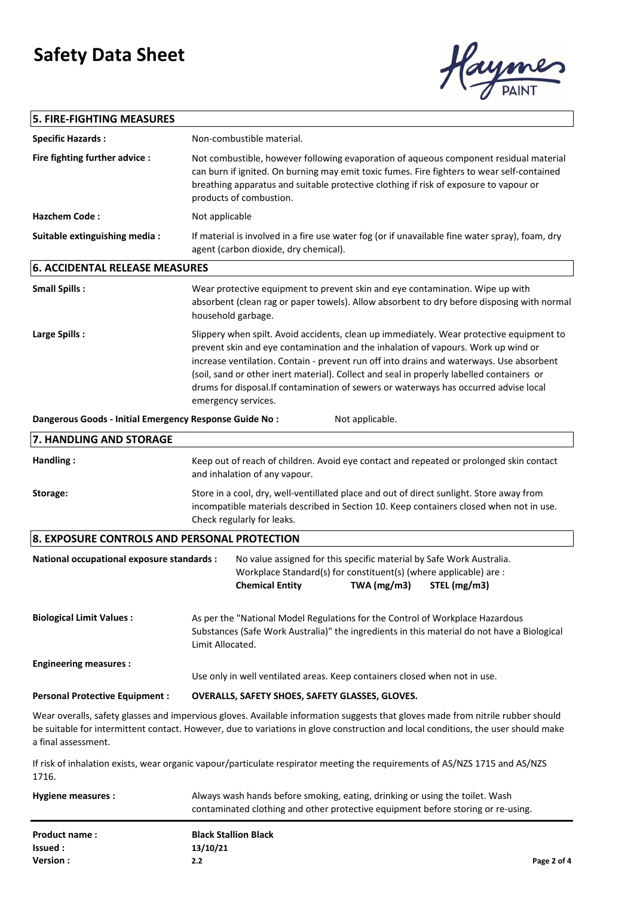

## **5. FIRE-FIGHTING MEASURES Specific Hazards :** Non-combustible material.

| 6. ACCIDENTAL RELEASE MEASURES |                                                                                                                                                                                                                                                                                                         |
|--------------------------------|---------------------------------------------------------------------------------------------------------------------------------------------------------------------------------------------------------------------------------------------------------------------------------------------------------|
| Suitable extinguishing media:  | If material is involved in a fire use water fog (or if unavailable fine water spray), foam, dry<br>agent (carbon dioxide, dry chemical).                                                                                                                                                                |
| <b>Hazchem Code:</b>           | Not applicable                                                                                                                                                                                                                                                                                          |
| Fire fighting further advice:  | Not combustible, however following evaporation of agueous component residual material<br>can burn if ignited. On burning may emit toxic fumes. Fire fighters to wear self-contained<br>breathing apparatus and suitable protective clothing if risk of exposure to vapour or<br>products of combustion. |
| <b>SPECING HOLDIUS.</b>        | NUIT-CUITIDUSTIDIE IIIdleHdi.                                                                                                                                                                                                                                                                           |

#### **Small Spills : Large Spills :** Slippery when spilt. Avoid accidents, clean up immediately. Wear protective equipment to prevent skin and eye contamination and the inhalation of vapours. Work up wind or increase ventilation. Contain - prevent run off into drains and waterways. Use absorbent (soil, sand or other inert material). Collect and seal in properly labelled containers or drums for disposal.If contamination of sewers or waterways has occurred advise local emergency services. Wear protective equipment to prevent skin and eye contamination. Wipe up with absorbent (clean rag or paper towels). Allow absorbent to dry before disposing with normal household garbage.

**Dangerous Goods - Initial Emergency Response Guide No :** Not applicable.

| 7. HANDLING AND STORAGE                                                                                                                                                                                                                                                                     |                                                                                                                                                                                                                   |                                                                                                                                                                                                    |  |                                                                                  |
|---------------------------------------------------------------------------------------------------------------------------------------------------------------------------------------------------------------------------------------------------------------------------------------------|-------------------------------------------------------------------------------------------------------------------------------------------------------------------------------------------------------------------|----------------------------------------------------------------------------------------------------------------------------------------------------------------------------------------------------|--|----------------------------------------------------------------------------------|
| Handling:                                                                                                                                                                                                                                                                                   | Keep out of reach of children. Avoid eye contact and repeated or prolonged skin contact<br>and inhalation of any vapour.                                                                                          |                                                                                                                                                                                                    |  |                                                                                  |
| Storage:                                                                                                                                                                                                                                                                                    | Store in a cool, dry, well-ventillated place and out of direct sunlight. Store away from<br>incompatible materials described in Section 10. Keep containers closed when not in use.<br>Check regularly for leaks. |                                                                                                                                                                                                    |  |                                                                                  |
| 8. EXPOSURE CONTROLS AND PERSONAL PROTECTION                                                                                                                                                                                                                                                |                                                                                                                                                                                                                   |                                                                                                                                                                                                    |  |                                                                                  |
| National occupational exposure standards :                                                                                                                                                                                                                                                  |                                                                                                                                                                                                                   | No value assigned for this specific material by Safe Work Australia.<br>Workplace Standard(s) for constituent(s) (where applicable) are :<br>TWA (mg/m3)<br><b>Chemical Entity</b><br>STEL (mg/m3) |  |                                                                                  |
| <b>Biological Limit Values:</b>                                                                                                                                                                                                                                                             | As per the "National Model Regulations for the Control of Workplace Hazardous<br>Substances (Safe Work Australia)" the ingredients in this material do not have a Biological<br>Limit Allocated.                  |                                                                                                                                                                                                    |  |                                                                                  |
| <b>Engineering measures:</b>                                                                                                                                                                                                                                                                |                                                                                                                                                                                                                   | Use only in well ventilated areas. Keep containers closed when not in use.                                                                                                                         |  |                                                                                  |
| <b>Personal Protective Equipment:</b>                                                                                                                                                                                                                                                       | OVERALLS, SAFETY SHOES, SAFETY GLASSES, GLOVES.                                                                                                                                                                   |                                                                                                                                                                                                    |  |                                                                                  |
| Wear overalls, safety glasses and impervious gloves. Available information suggests that gloves made from nitrile rubber should<br>be suitable for intermittent contact. However, due to variations in glove construction and local conditions, the user should make<br>a final assessment. |                                                                                                                                                                                                                   |                                                                                                                                                                                                    |  |                                                                                  |
| If risk of inhalation exists, wear organic vapour/particulate respirator meeting the requirements of AS/NZS 1715 and AS/NZS<br>1716.                                                                                                                                                        |                                                                                                                                                                                                                   |                                                                                                                                                                                                    |  |                                                                                  |
| <b>Hygiene measures:</b>                                                                                                                                                                                                                                                                    |                                                                                                                                                                                                                   | Always wash hands before smoking, eating, drinking or using the toilet. Wash                                                                                                                       |  | contaminated clothing and other protective equipment before storing or re-using. |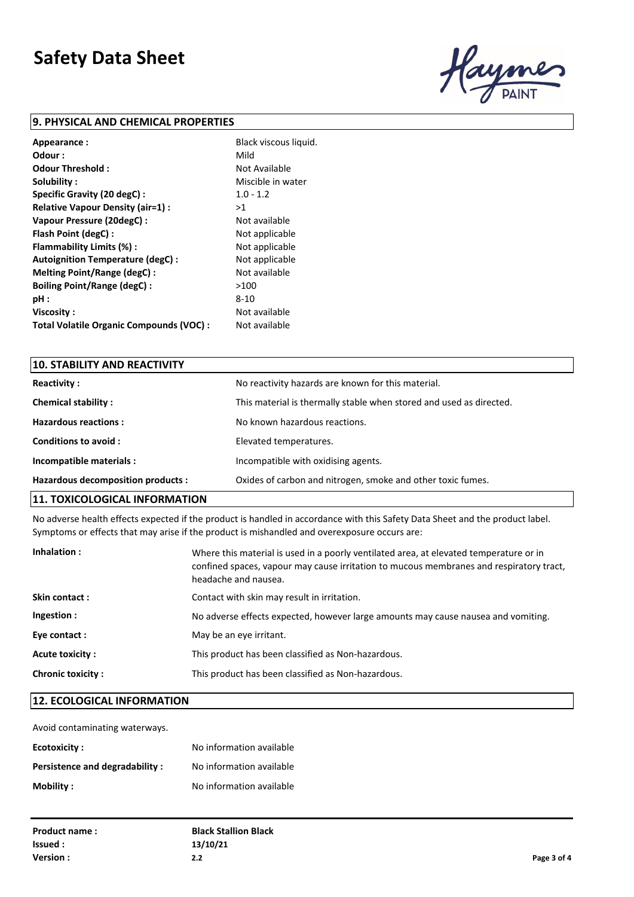

### **9. PHYSICAL AND CHEMICAL PROPERTIES**

| Appearance:                              | Black viscous liquid. |
|------------------------------------------|-----------------------|
| Odour :                                  | Mild                  |
| Odour Threshold:                         | Not Available         |
| Solubility:                              | Miscible in water     |
| Specific Gravity (20 degC):              | $1.0 - 1.2$           |
| Relative Vapour Density (air=1) :        | >1                    |
| Vapour Pressure (20degC):                | Not available         |
| Flash Point (degC) :                     | Not applicable        |
| Flammability Limits (%) :                | Not applicable        |
| Autoignition Temperature (degC) :        | Not applicable        |
| Melting Point/Range (degC):              | Not available         |
| <b>Boiling Point/Range (degC):</b>       | >100                  |
| pH:                                      | 8-10                  |
| Viscosity:                               | Not available         |
| Total Volatile Organic Compounds (VOC) : | Not available         |

| 10. STABILITY AND REACTIVITY       |                                                                     |
|------------------------------------|---------------------------------------------------------------------|
| <b>Reactivity:</b>                 | No reactivity hazards are known for this material.                  |
| <b>Chemical stability:</b>         | This material is thermally stable when stored and used as directed. |
| Hazardous reactions:               | No known hazardous reactions.                                       |
| Conditions to avoid:               | Elevated temperatures.                                              |
| Incompatible materials :           | Incompatible with oxidising agents.                                 |
| Hazardous decomposition products : | Oxides of carbon and nitrogen, smoke and other toxic fumes.         |
|                                    |                                                                     |

### **11. TOXICOLOGICAL INFORMATION**

No adverse health effects expected if the product is handled in accordance with this Safety Data Sheet and the product label. Symptoms or effects that may arise if the product is mishandled and overexposure occurs are:

| Inhalation:              | Where this material is used in a poorly ventilated area, at elevated temperature or in<br>confined spaces, vapour may cause irritation to mucous membranes and respiratory tract,<br>headache and nausea. |
|--------------------------|-----------------------------------------------------------------------------------------------------------------------------------------------------------------------------------------------------------|
| Skin contact:            | Contact with skin may result in irritation.                                                                                                                                                               |
| Ingestion :              | No adverse effects expected, however large amounts may cause nausea and vomiting.                                                                                                                         |
| Eye contact :            | May be an eye irritant.                                                                                                                                                                                   |
| Acute toxicity:          | This product has been classified as Non-hazardous.                                                                                                                                                        |
| <b>Chronic toxicity:</b> | This product has been classified as Non-hazardous.                                                                                                                                                        |

### **12. ECOLOGICAL INFORMATION**

Avoid contaminating waterways.

| Ecotoxicity :                  | No information available |
|--------------------------------|--------------------------|
| Persistence and degradability: | No information available |
| Mobility :                     | No information available |